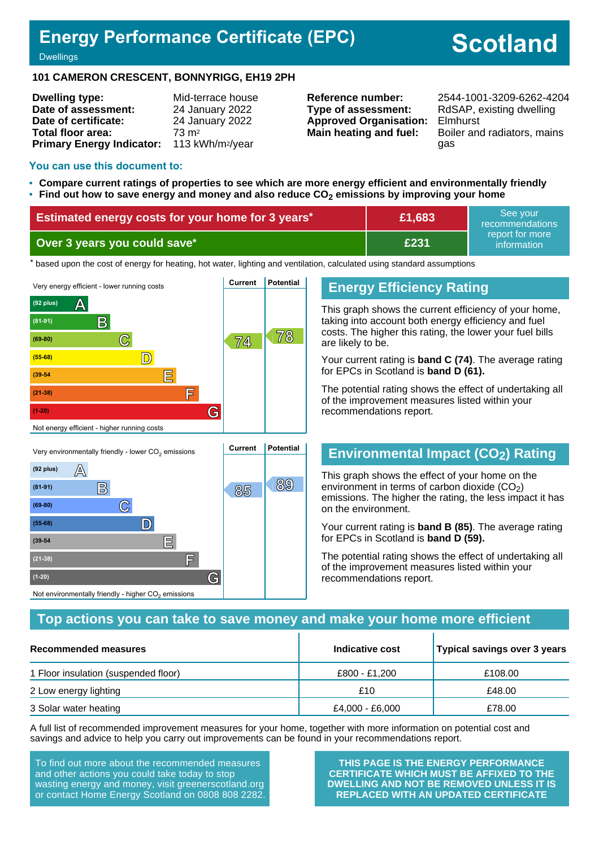## **Energy Performance Certificate (EPC)**

# **Scotland**

**Dwellings** 

#### **101 CAMERON CRESCENT, BONNYRIGG, EH19 2PH**

| <b>Dwelling type:</b>            | Mid-terrace house            |
|----------------------------------|------------------------------|
| Date of assessment:              | 24 January 2022              |
| Date of certificate:             | 24 January 2022              |
| <b>Total floor area:</b>         | $73 \text{ m}^2$             |
| <b>Primary Energy Indicator:</b> | 113 kWh/m <sup>2</sup> /year |

**Type of assessment:** RdSAP, existing dwelling **Approved Organisation:** Elmhurst

**Reference number:** 2544-1001-3209-6262-4204 **Main heating and fuel:** Boiler and radiators, mains gas

#### **You can use this document to:**

**(69-80) C**

**(55-68) D**

**(39-54 E**

**(21-38) F**

Not environmentally friendly - higher  $\mathrm{CO}_2$  emissions

**(1-20) G**

- **Compare current ratings of properties to see which are more energy efficient and environmentally friendly**
- **Find out how to save energy and money and also reduce CO2 emissions by improving your home**

| Estimated energy costs for your home for 3 years* | £1,683 | l See vour⊥<br>recommendations |
|---------------------------------------------------|--------|--------------------------------|
| Over 3 years you could save*                      | £231   | report for more<br>information |

the based upon the cost of energy for heating, hot water, lighting and ventilation, calculated using standard assumptions



#### **Energy Efficiency Rating**

This graph shows the current efficiency of your home, taking into account both energy efficiency and fuel costs. The higher this rating, the lower your fuel bills are likely to be.

Your current rating is **band C (74)**. The average rating for EPCs in Scotland is **band D (61).**

The potential rating shows the effect of undertaking all of the improvement measures listed within your recommendations report.

## **Environmental Impact (CO2) Rating**

This graph shows the effect of your home on the environment in terms of carbon dioxide  $(CO<sub>2</sub>)$ emissions. The higher the rating, the less impact it has on the environment.

Your current rating is **band B (85)**. The average rating for EPCs in Scotland is **band D (59).**

The potential rating shows the effect of undertaking all of the improvement measures listed within your recommendations report.

#### **Top actions you can take to save money and make your home more efficient**

| Recommended measures                 | Indicative cost | Typical savings over 3 years |
|--------------------------------------|-----------------|------------------------------|
| 1 Floor insulation (suspended floor) | £800 - £1.200   | £108.00                      |
| 2 Low energy lighting                | £10             | £48.00                       |
| 3 Solar water heating                | £4,000 - £6,000 | £78.00                       |

A full list of recommended improvement measures for your home, together with more information on potential cost and savings and advice to help you carry out improvements can be found in your recommendations report.

To find out more about the recommended measures and other actions you could take today to stop wasting energy and money, visit greenerscotland.org or contact Home Energy Scotland on 0808 808 2282.

**THIS PAGE IS THE ENERGY PERFORMANCE CERTIFICATE WHICH MUST BE AFFIXED TO THE DWELLING AND NOT BE REMOVED UNLESS IT IS REPLACED WITH AN UPDATED CERTIFICATE**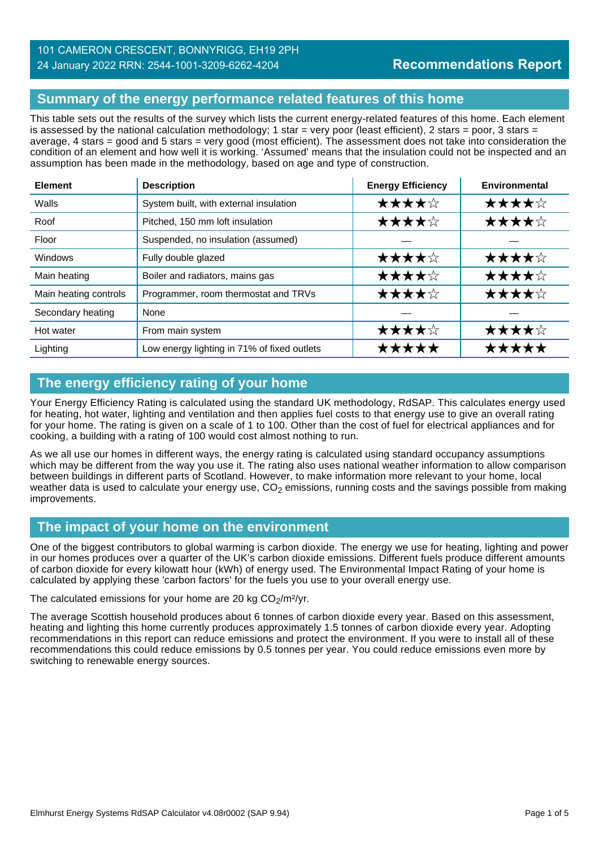## **Summary of the energy performance related features of this home**

This table sets out the results of the survey which lists the current energy-related features of this home. Each element is assessed by the national calculation methodology; 1 star = very poor (least efficient), 2 stars = poor, 3 stars = average, 4 stars = good and 5 stars = very good (most efficient). The assessment does not take into consideration the condition of an element and how well it is working. 'Assumed' means that the insulation could not be inspected and an assumption has been made in the methodology, based on age and type of construction.

| <b>Element</b>        | <b>Description</b>                          | <b>Energy Efficiency</b> | Environmental |
|-----------------------|---------------------------------------------|--------------------------|---------------|
| Walls                 | System built, with external insulation      | ★★★★☆                    | ★★★★☆         |
| Roof                  | Pitched, 150 mm loft insulation             | ★★★★☆                    | ★★★★☆         |
| Floor                 | Suspended, no insulation (assumed)          |                          |               |
| <b>Windows</b>        | Fully double glazed                         | ★★★★☆                    | ★★★★☆         |
| Main heating          | Boiler and radiators, mains gas             | ★★★★☆                    | ★★★★☆         |
| Main heating controls | Programmer, room thermostat and TRVs        | ★★★★☆                    | ★★★★☆         |
| Secondary heating     | None                                        |                          |               |
| Hot water             | From main system                            | ★★★★☆                    | ★★★★☆         |
| Lighting              | Low energy lighting in 71% of fixed outlets | *****                    | *****         |

## **The energy efficiency rating of your home**

Your Energy Efficiency Rating is calculated using the standard UK methodology, RdSAP. This calculates energy used for heating, hot water, lighting and ventilation and then applies fuel costs to that energy use to give an overall rating for your home. The rating is given on a scale of 1 to 100. Other than the cost of fuel for electrical appliances and for cooking, a building with a rating of 100 would cost almost nothing to run.

As we all use our homes in different ways, the energy rating is calculated using standard occupancy assumptions which may be different from the way you use it. The rating also uses national weather information to allow comparison between buildings in different parts of Scotland. However, to make information more relevant to your home, local weather data is used to calculate your energy use,  $CO<sub>2</sub>$  emissions, running costs and the savings possible from making improvements.

## **The impact of your home on the environment**

One of the biggest contributors to global warming is carbon dioxide. The energy we use for heating, lighting and power in our homes produces over a quarter of the UK's carbon dioxide emissions. Different fuels produce different amounts of carbon dioxide for every kilowatt hour (kWh) of energy used. The Environmental Impact Rating of your home is calculated by applying these 'carbon factors' for the fuels you use to your overall energy use.

The calculated emissions for your home are 20 kg  $CO<sub>2</sub>/m<sup>2</sup>/yr$ .

The average Scottish household produces about 6 tonnes of carbon dioxide every year. Based on this assessment, heating and lighting this home currently produces approximately 1.5 tonnes of carbon dioxide every year. Adopting recommendations in this report can reduce emissions and protect the environment. If you were to install all of these recommendations this could reduce emissions by 0.5 tonnes per year. You could reduce emissions even more by switching to renewable energy sources.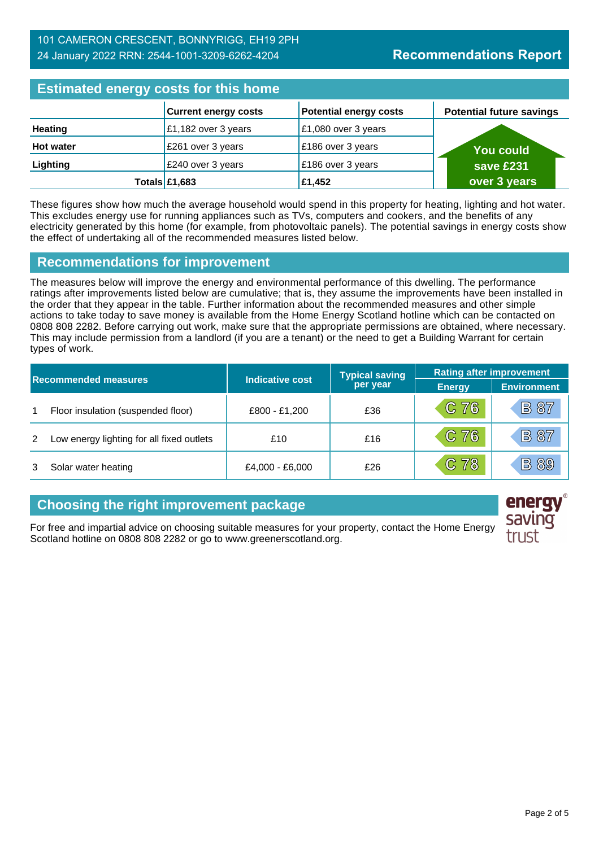## **Estimated energy costs for this home**

| <b>Editional city of the couple of the figure</b> |                             |                               |                                 |  |
|---------------------------------------------------|-----------------------------|-------------------------------|---------------------------------|--|
|                                                   | <b>Current energy costs</b> | <b>Potential energy costs</b> | <b>Potential future savings</b> |  |
| Heating                                           | £1,182 over 3 years         | £1,080 over 3 years           |                                 |  |
| <b>Hot water</b>                                  | £261 over 3 years           | £186 over 3 years             | You could                       |  |
| Lighting                                          | £240 over 3 years           | £186 over 3 years             | save £231                       |  |
|                                                   | Totals $£1,683$             | £1,452                        | over 3 years                    |  |

These figures show how much the average household would spend in this property for heating, lighting and hot water. This excludes energy use for running appliances such as TVs, computers and cookers, and the benefits of any electricity generated by this home (for example, from photovoltaic panels). The potential savings in energy costs show the effect of undertaking all of the recommended measures listed below.

#### **Recommendations for improvement**

The measures below will improve the energy and environmental performance of this dwelling. The performance ratings after improvements listed below are cumulative; that is, they assume the improvements have been installed in the order that they appear in the table. Further information about the recommended measures and other simple actions to take today to save money is available from the Home Energy Scotland hotline which can be contacted on 0808 808 2282. Before carrying out work, make sure that the appropriate permissions are obtained, where necessary. This may include permission from a landlord (if you are a tenant) or the need to get a Building Warrant for certain types of work.

| <b>Recommended measures</b> |                                           |                 | <b>Typical saving</b> | <b>Rating after improvement</b> |                    |
|-----------------------------|-------------------------------------------|-----------------|-----------------------|---------------------------------|--------------------|
|                             |                                           | Indicative cost | per year              | <b>Energy</b>                   | <b>Environment</b> |
| 1                           | Floor insulation (suspended floor)        | £800 - £1,200   | £36                   | C76                             | <b>B</b> 87        |
| 2                           | Low energy lighting for all fixed outlets | £10             | £16                   | C76                             | <b>B 87</b>        |
|                             | Solar water heating                       | £4,000 - £6,000 | £26                   | C 78                            | <b>B</b> 89        |

## **Choosing the right improvement package**

For free and impartial advice on choosing suitable measures for your property, contact the Home Energy Scotland hotline on 0808 808 2282 or go to www.greenerscotland.org.

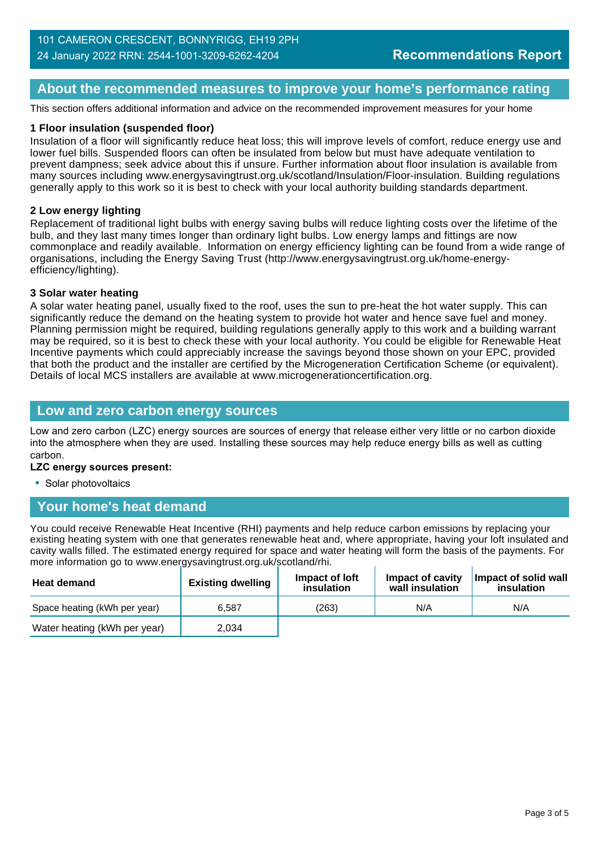#### **About the recommended measures to improve your home's performance rating**

This section offers additional information and advice on the recommended improvement measures for your home

#### **1 Floor insulation (suspended floor)**

Insulation of a floor will significantly reduce heat loss; this will improve levels of comfort, reduce energy use and lower fuel bills. Suspended floors can often be insulated from below but must have adequate ventilation to prevent dampness; seek advice about this if unsure. Further information about floor insulation is available from many sources including www.energysavingtrust.org.uk/scotland/Insulation/Floor-insulation. Building regulations generally apply to this work so it is best to check with your local authority building standards department.

#### **2 Low energy lighting**

Replacement of traditional light bulbs with energy saving bulbs will reduce lighting costs over the lifetime of the bulb, and they last many times longer than ordinary light bulbs. Low energy lamps and fittings are now commonplace and readily available. Information on energy efficiency lighting can be found from a wide range of organisations, including the Energy Saving Trust (http://www.energysavingtrust.org.uk/home-energyefficiency/lighting).

#### **3 Solar water heating**

A solar water heating panel, usually fixed to the roof, uses the sun to pre-heat the hot water supply. This can significantly reduce the demand on the heating system to provide hot water and hence save fuel and money. Planning permission might be required, building regulations generally apply to this work and a building warrant may be required, so it is best to check these with your local authority. You could be eligible for Renewable Heat Incentive payments which could appreciably increase the savings beyond those shown on your EPC, provided that both the product and the installer are certified by the Microgeneration Certification Scheme (or equivalent). Details of local MCS installers are available at www.microgenerationcertification.org.

#### **Low and zero carbon energy sources**

Low and zero carbon (LZC) energy sources are sources of energy that release either very little or no carbon dioxide into the atmosphere when they are used. Installing these sources may help reduce energy bills as well as cutting carbon.

#### **LZC energy sources present:**

• Solar photovoltaics

## **Your home's heat demand**

You could receive Renewable Heat Incentive (RHI) payments and help reduce carbon emissions by replacing your existing heating system with one that generates renewable heat and, where appropriate, having your loft insulated and cavity walls filled. The estimated energy required for space and water heating will form the basis of the payments. For more information go to www.energysavingtrust.org.uk/scotland/rhi.

| <b>Heat demand</b>           | <b>Existing dwelling</b> | Impact of loft<br>insulation | Impact of cavity<br>wall insulation | Impact of solid wall<br>insulation |
|------------------------------|--------------------------|------------------------------|-------------------------------------|------------------------------------|
| Space heating (kWh per year) | 6.587                    | (263)                        | N/A                                 | N/A                                |
| Water heating (kWh per year) | 2.034                    |                              |                                     |                                    |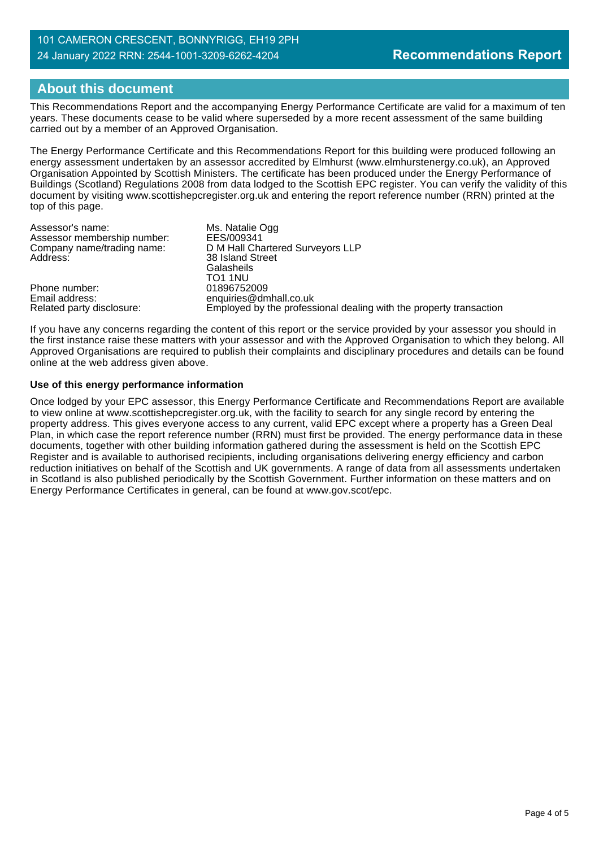## **About this document**

This Recommendations Report and the accompanying Energy Performance Certificate are valid for a maximum of ten years. These documents cease to be valid where superseded by a more recent assessment of the same building carried out by a member of an Approved Organisation.

The Energy Performance Certificate and this Recommendations Report for this building were produced following an energy assessment undertaken by an assessor accredited by Elmhurst (www.elmhurstenergy.co.uk), an Approved Organisation Appointed by Scottish Ministers. The certificate has been produced under the Energy Performance of Buildings (Scotland) Regulations 2008 from data lodged to the Scottish EPC register. You can verify the validity of this document by visiting www.scottishepcregister.org.uk and entering the report reference number (RRN) printed at the top of this page.

| Assessor's name:            | Ms. Natalie Ogg                                                    |
|-----------------------------|--------------------------------------------------------------------|
| Assessor membership number: | EES/009341                                                         |
| Company name/trading name:  | D M Hall Chartered Surveyors LLP                                   |
| Address:                    | 38 Island Street<br>Galasheils<br>TO1 1NU                          |
| Phone number:               | 01896752009                                                        |
| Email address:              | enquiries@dmhall.co.uk                                             |
| Related party disclosure:   | Employed by the professional dealing with the property transaction |

If you have any concerns regarding the content of this report or the service provided by your assessor you should in the first instance raise these matters with your assessor and with the Approved Organisation to which they belong. All Approved Organisations are required to publish their complaints and disciplinary procedures and details can be found online at the web address given above.

#### **Use of this energy performance information**

Once lodged by your EPC assessor, this Energy Performance Certificate and Recommendations Report are available to view online at www.scottishepcregister.org.uk, with the facility to search for any single record by entering the property address. This gives everyone access to any current, valid EPC except where a property has a Green Deal Plan, in which case the report reference number (RRN) must first be provided. The energy performance data in these documents, together with other building information gathered during the assessment is held on the Scottish EPC Register and is available to authorised recipients, including organisations delivering energy efficiency and carbon reduction initiatives on behalf of the Scottish and UK governments. A range of data from all assessments undertaken in Scotland is also published periodically by the Scottish Government. Further information on these matters and on Energy Performance Certificates in general, can be found at www.gov.scot/epc.